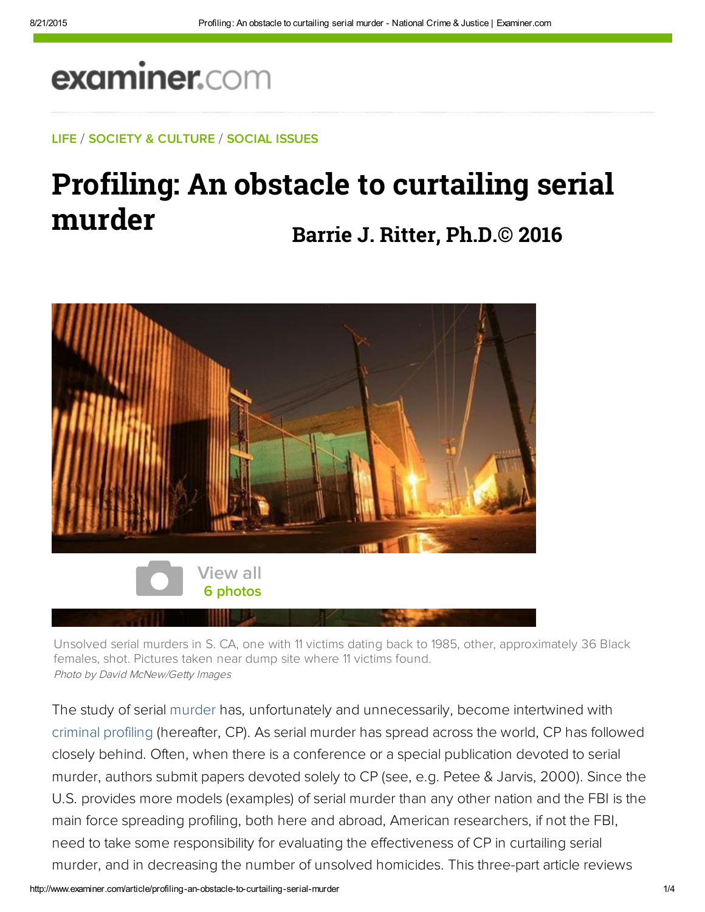## examiner.com

LIFE / SOCIETY & CULTURE / SOCIAL ISSUES

## Profiling: An obstacle to curtailing serial murder **Barrie J. Ritter, Ph.D.© 2016**



Unsolved serial murders in S. CA, one with 11 victims dating back to 1985, other, approximately 36 Black females, shot. Pictures taken near dump site where 11 victims found. Photo by David McNew/Getty Images

The study of serial murder has, unfortunately and unnecessarily, become intertwined with criminal profiling (hereafter, CP). As serial murder has spread across the world, CP has followed closely behind. Often, when there is a conference or a special publication devoted to serial murder, authors submit papers devoted solely to CP (see, e.g. [Petee & Jarvis, 2000\)](http://homicideworkinggroup.cos.ucf.edu/publications/jnl00.php). Since the U.S. provides more models (examples) of serial murder than any other nation and the FBI is the main force spreading profiling, both here and abroad, American researchers, if not the FBI, need to take some responsibility for evaluating the effectiveness of CP in curtailing serial murder, and in decreasing the number of unsolved homicides. This three-part article reviews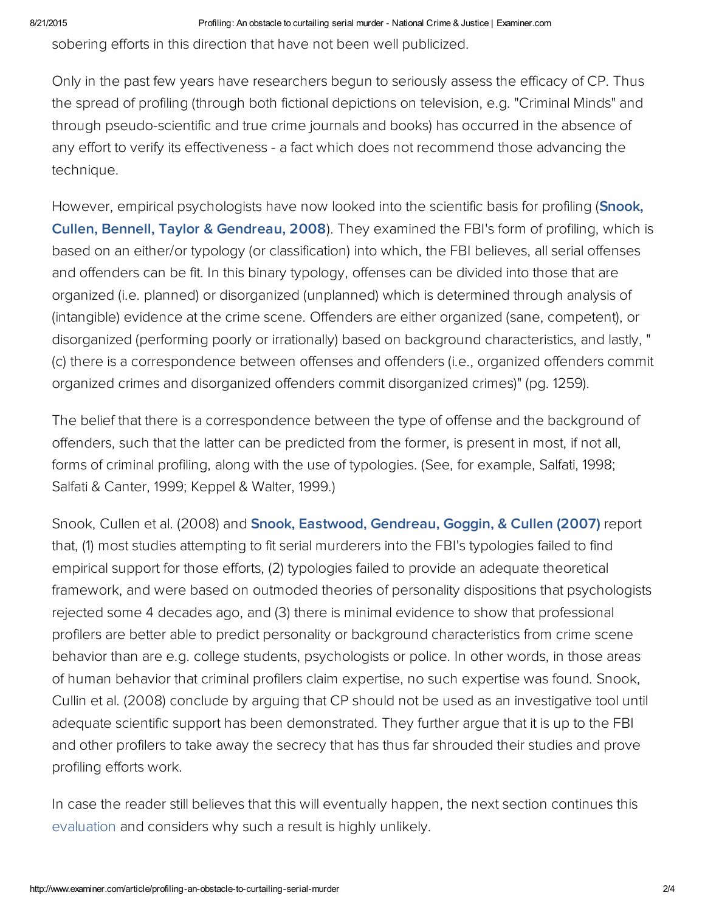sobering efforts in this direction that have not been well publicized.

Only in the past few years have researchers begun to seriously assess the efficacy of CP. Thus the spread of profiling (through both fictional depictions on television, e.g. "Criminal Minds" and through pseudo-scientific and true crime journals and books) has occurred in the absence of any effort to verify its effectiveness - a fact which does not recommend those advancing the technique.

However, empirical psychologists have now looked into the scientific basis for profiling (**Snook,** Cullen, Bennell, Taylor & Gendreau, 2008). They examined the FBI's form of profiling, which is based on an either/or typology (or classification) into which, the FBI believes, all serial offenses and offenders can be fit. In this binary typology, offenses can be divided into those that are organized (i.e. planned) or disorganized (unplanned) which is determined through analysis of (intangible) evidence at the crime scene. Offenders are either organized (sane, competent), or disorganized (performing poorly or irrationally) based on background characteristics, and lastly, " (c) there is a correspondence between offenses and offenders (i.e., organized offenders commit organized crimes and disorganized offenders commit disorganized crimes)" (pg. 1259).

The belief that there is a correspondence between the type of offense and the background of offenders, such that the latter can be predicted from the former, is present in most, if not all, forms of criminal profiling, along with the use of typologies. (See, for example, Salfati, 1998; Salfati & Canter, 1999; Keppel & Walter, 1999.)

Snook, Cullen et al. (2008) and **Snook, Eastwood, Gendreau, Goggin, & Cullen (2007)** report that, (1) most studies attempting to fit serial murderers into the FBI's typologies failed to find empirical support for those efforts, (2) typologies failed to provide an adequate theoretical framework, and were based on outmoded theories of personality dispositions that psychologists rejected some 4 decades ago, and (3) there is minimal evidence to show that professional profilers are better able to predict personality or background characteristics from crime scene behavior than are e.g. college students, psychologists or police. In other words, in those areas of human behavior that criminal profilers claim expertise, no such expertise was found. Snook, Cullin et al. (2008) conclude by arguing that CP should not be used as an investigative tool until adequate scientific support has been demonstrated. They further argue that it is up to the FBI and other profilers to take away the secrecy that has thus far shrouded their studies and prove profiling efforts work.

In case the reader still believes that this will eventually happen, the next section continues this evaluation and considers why such a result is highly unlikely.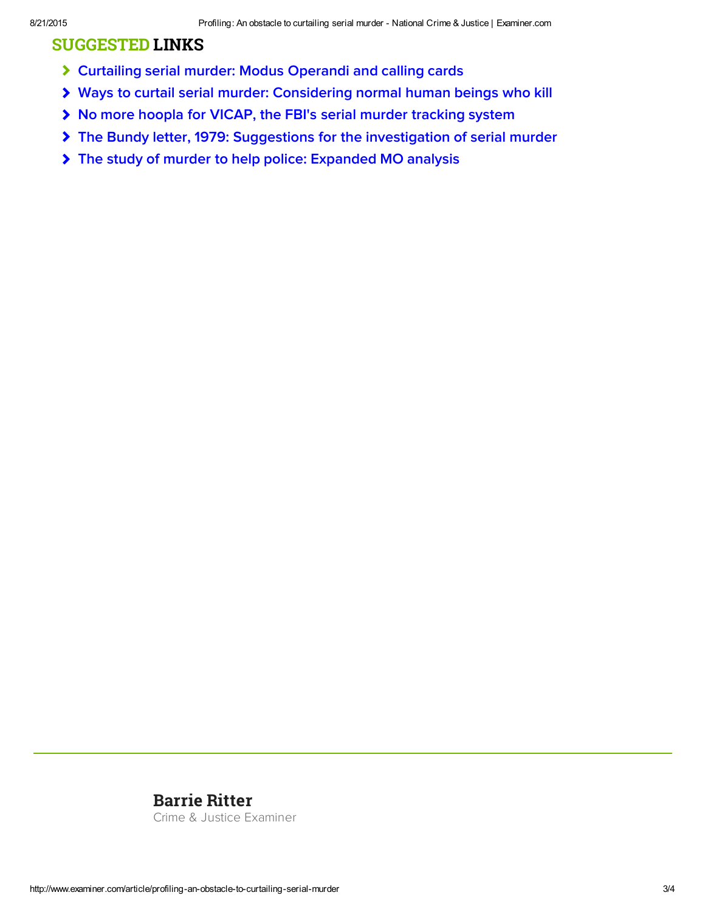## SUGGESTED LINKS

- [Curtailing serial murder: Modus Operandi and calling cards](http://www.ritterhomicideresearch.com/articles/Curtailing-Serial-Murder.pdf)
- [Ways to curtail serial murder: Considering normal human beings who kill](http://www.ritterhomicideresearch.com/articles/Ways-to-curtail-Serial-Murder_normal-humans-who-kill.pdf)
- [No more hoopla for VICAP, the FBI's serial murder tracking system](http://www.ritterhomicideresearch.com/articles/VICAP_the-FBIs-serial-murder-tracking-system.pdf)
- [The Bundy letter, 1979: Suggestions for the investigation of serial murder](http://www.ritterhomicideresearch.com/articles/The-Bundy-letter-1979_Suggestions-for-investigation-of-serial-murder.pdf)
- [The study of murder to help police: Expanded MO analysis](http://www.ritterhomicideresearch.com/articles/The-study-of-murder-to-help-police_Expanded-MO-analysis.pdf)

## [Barrie Ritter](https://www.linkedin.com/in/barriejritterphd)

Crime & Justice Examiner